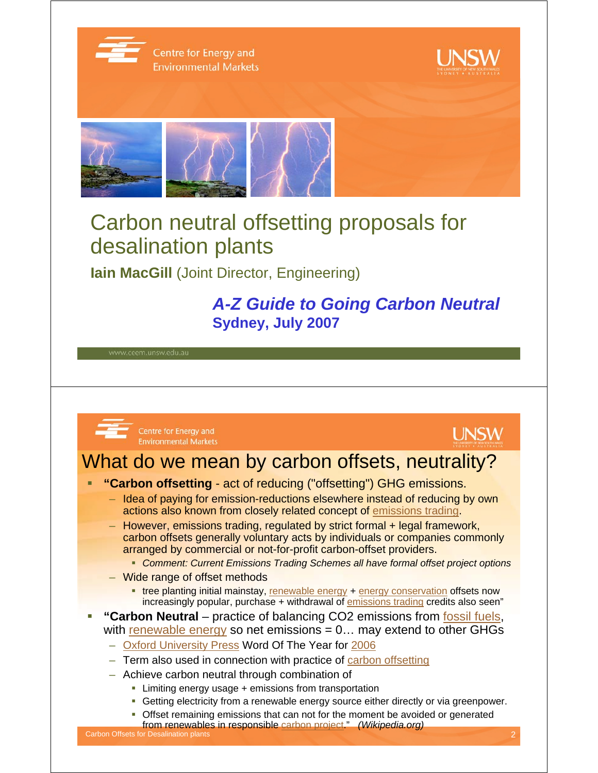

## Carbon neutral offsetting proposals for desalination plants

**Iain MacGill (Joint Director, Engineering)** 

### *A-Z Guide to Going Carbon Neutral*  **Sydney, July 2007**

www.ceem.unsw.edu.au



Centre for Energy and **Environmental Markets** 



### What do we mean by carbon offsets, neutrality?

- **"Carbon offsetting**  act of reducing ("offsetting") GHG emissions.
	- Idea of paying for emission-reductions elsewhere instead of reducing by own actions also known from closely related concept of emissions trading.
	- However, emissions trading, regulated by strict formal + legal framework, carbon offsets generally voluntary acts by individuals or companies commonly arranged by commercial or not-for-profit carbon-offset providers.
		- *Comment: Current Emissions Trading Schemes all have formal offset project options*
	- Wide range of offset methods
		- **the planting initial mainstay, renewable energy + energy conservation offsets now** increasingly popular, purchase + withdrawal of emissions trading credits also seen"
- **"Carbon Neutral** practice of balancing CO2 emissions from fossil fuels, with renewable energy so net emissions  $= 0...$  may extend to other GHGs
	- Oxford University Press Word Of The Year for 2006
	- Term also used in connection with practice of carbon offsetting
	- Achieve carbon neutral through combination of
		- **EXTERG** Limiting energy usage + emissions from transportation
		- Getting electricity from a renewable energy source either directly or via greenpower.
		- Offset remaining emissions that can not for the moment be avoided or generated from renewables in responsible carbon project." *(Wikipedia.org)*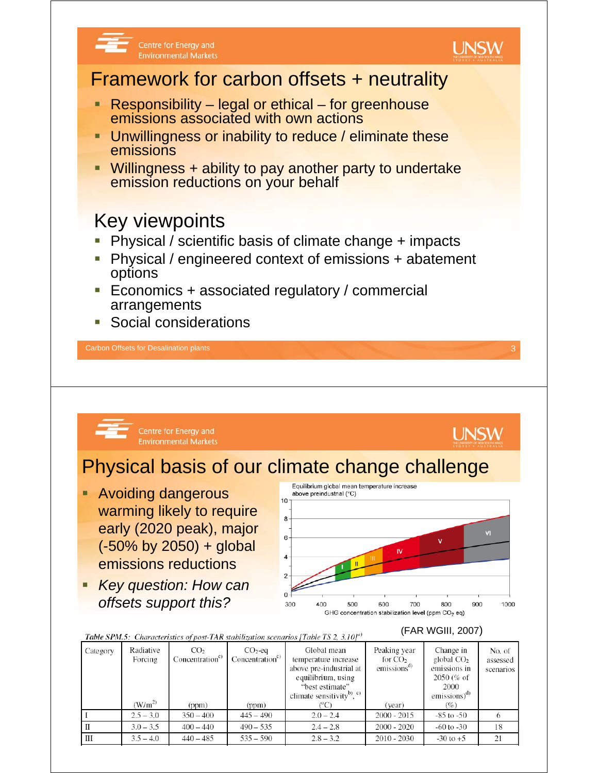

#### **Table SPM.5:** Characteristics of post-TAR stabilization scenarios [Table TS 2, 3.10]<sup>a)</sup>

#### (FAR WGIII, 2007)

| Category | Radiative<br>Forcing | CO <sub>2</sub><br>Concentration <sup>c)</sup> | $CO2$ -eq<br>Concentration <sup>c)</sup> | Global mean<br>temperature increase<br>above pre-industrial at<br>equilibrium, using<br>"best estimate"<br>climate sensitivity <sup>b)</sup> , $c$ ) | Peaking year<br>for $CO2$<br>emissions <sup>a</sup> | Change in<br>global $CO2$<br>emissions in<br>$2050\,(% of$<br>2000<br>emissions) $^{(d)}$ | No. of<br>assessed<br>scenarios |
|----------|----------------------|------------------------------------------------|------------------------------------------|------------------------------------------------------------------------------------------------------------------------------------------------------|-----------------------------------------------------|-------------------------------------------------------------------------------------------|---------------------------------|
|          | $(W/m^2)$            | (ppm)                                          | (ppm)                                    | (°C)                                                                                                                                                 | (year)                                              | (%)                                                                                       |                                 |
|          | $2.5 - 3.0$          | $350 - 400$                                    | $445 - 490$                              | $2.0 - 2.4$                                                                                                                                          | $2000 - 2015$                                       | $-85$ to $-50$                                                                            |                                 |
|          | $3.0 - 3.5$          | $400 - 440$                                    | $490 - 535$                              | $2.4 - 2.8$                                                                                                                                          | $2000 - 2020$                                       | $-60$ to $-30$                                                                            | 18                              |
| Ш        | $3.5 - 4.0$          | $440 - 485$                                    | $535 - 590$                              | $2.8 - 3.2$                                                                                                                                          | $2010 - 2030$                                       | $-30$ to $+5$                                                                             | 21                              |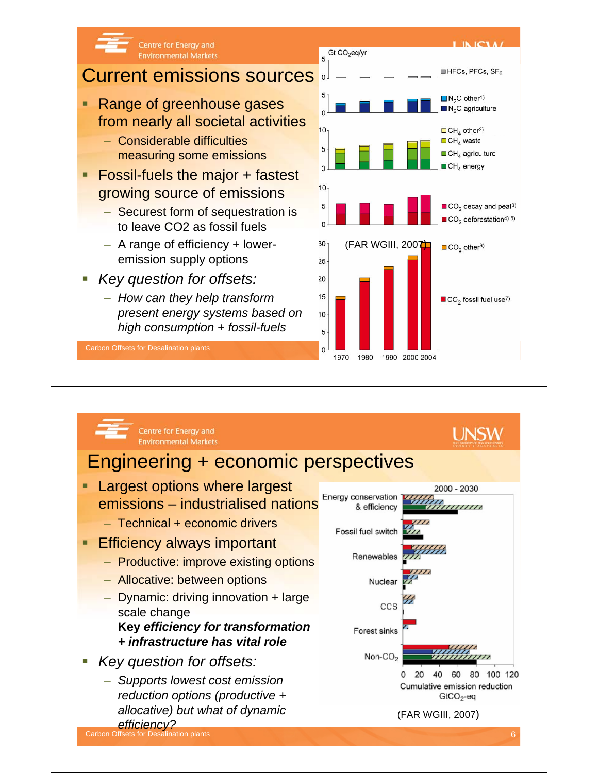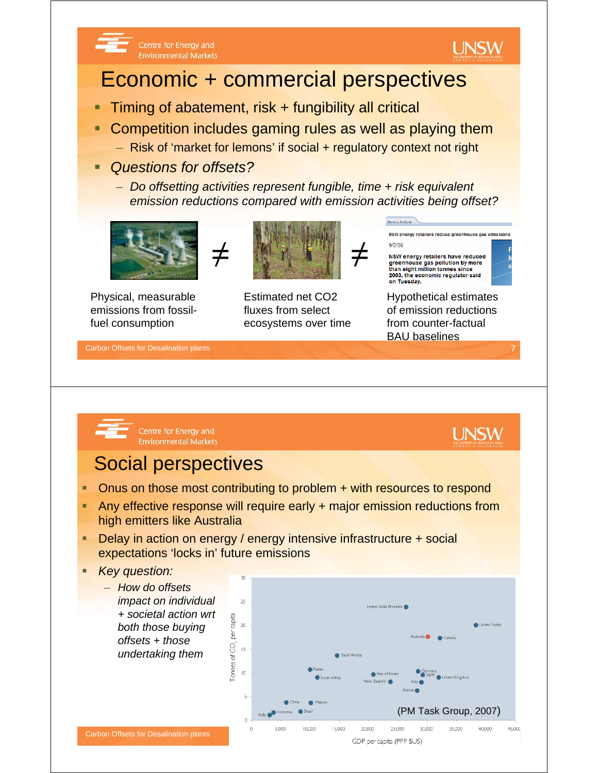

# Economic + commercial perspectives

- Timing of abatement, risk + fungibility all critical
- Competition includes gaming rules as well as playing them
	- Risk of 'market for lemons' if social + regulatory context not right
- *Questions for offsets?*

Centre for Energy and

**Environmental Markets** 

– *Do offsetting activities represent fungible, time + risk equivalent emission reductions compared with emission activities being offset?*



Physical, measurable emissions from fossilfuel consumption



Estimated net CO2 fluxes from select ecosystems over time



**News Article** 

Hypothetical estimates of emission reductions from counter-factual BAU baselines

Carbon Offsets for Desalination plants 7

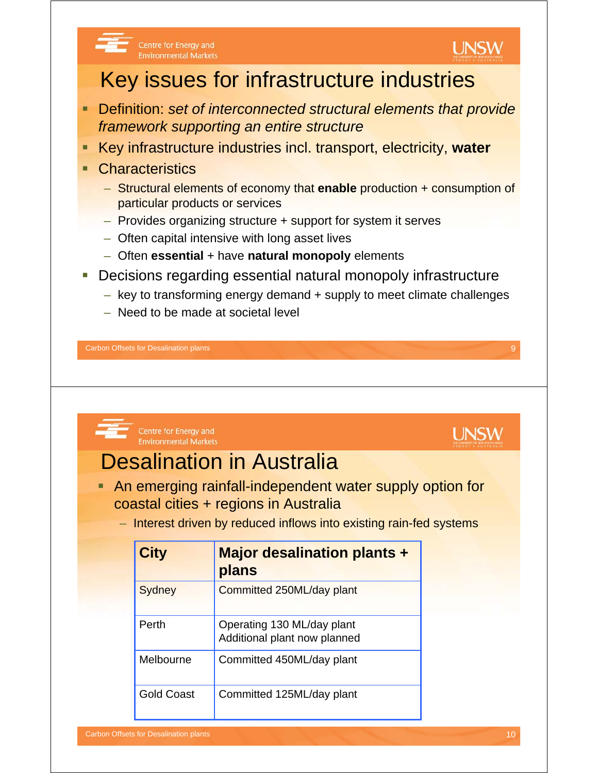

#### Centre for Energy and **Environmental Markets**

## Key issues for infrastructure industries

- Definition: *set of interconnected structural elements that provide framework supporting an entire structure*
- Key infrastructure industries incl. transport, electricity, **water**
- **Characteristics** 
	- Structural elements of economy that **enable** production + consumption of particular products or services
	- Provides organizing structure + support for system it serves
	- Often capital intensive with long asset lives
	- Often **essential** + have **natural monopoly** elements
- Decisions regarding essential natural monopoly infrastructure
	- key to transforming energy demand + supply to meet climate challenges
	- Need to be made at societal level

Carbon Offsets for Desalination plants 9

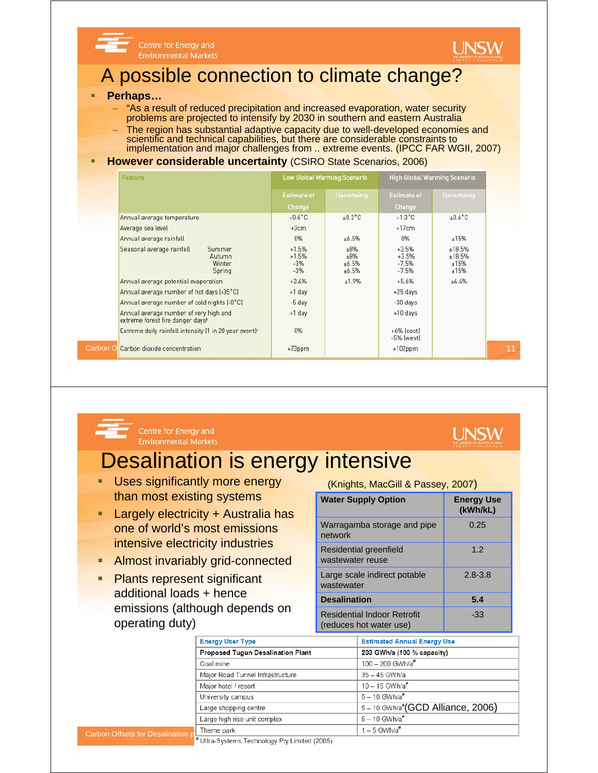



**UNSW** 

### A possible connection to climate change?

#### **Perhaps…**

– "As a result of reduced precipitation and increased evaporation, water security problems are projected to intensify by 2030 in southern and eastern Australia – The region has substantial adaptive capacity due to well-developed economies and

scientific and technical capabilities, but there are considerable constraints to implementation and major challenges from .. extreme events. (IPCC FAR WGII, 2007)

### **However considerable uncertainty (CSIRO State Scenarios, 2006)**

| <b>Feature</b>                                                                         | <b>Low Global Warming Scenario</b>   |                              | <b>High Global Warming Scenario</b>      |                                  |    |  |
|----------------------------------------------------------------------------------------|--------------------------------------|------------------------------|------------------------------------------|----------------------------------|----|--|
|                                                                                        | <b>Estimate of</b>                   | <b>Uncertainty</b>           | <b>Estimate of</b>                       | <b>Uncertainty</b>               |    |  |
|                                                                                        | Change                               |                              | Change                                   |                                  |    |  |
| Annual average temperature                                                             | $+0.6^{\circ}$ C                     | ±0.2°C                       | $+1.3^{\circ}$ C                         | $\pm 0.6^{\circ}$ C              |    |  |
| Average sea level                                                                      | $+3cm$                               |                              | $+17cm$                                  |                                  |    |  |
| Annual average rainfall                                                                | 0%                                   | ±6.5%                        | 0%                                       | ±15%                             |    |  |
| Seasonal average rainfall<br>Summer<br>Autumn<br>Winter<br>Spring                      | $+1.5%$<br>$+1.5%$<br>$-3%$<br>$-3%$ | ±8%<br>±8%<br>±6.5%<br>±6.5% | $+3.5%$<br>$+3.5%$<br>$-7.5%$<br>$-7.5%$ | ±18.5%<br>±18.5%<br>±15%<br>±15% |    |  |
| Annual average potential evaporation                                                   | $+2.4%$                              | ±1.9%                        | $+5.6%$                                  | ±4.4%                            |    |  |
| Annual average number of hot days (>35 °C)                                             | +1 day                               |                              | +25 days                                 |                                  |    |  |
| Annual average number of cold nights (<0°C)                                            | -5 day                               |                              | -30 days                                 |                                  |    |  |
| Annual average number of very high and<br>extreme forest fire danger days <sup>b</sup> | +1 day                               |                              | $+10$ days                               |                                  |    |  |
| Extreme daily rainfall intensity (1 in 20 year event) <sup>c</sup>                     | 0%                                   |                              | +6% (east)<br>-5% [west]                 |                                  |    |  |
| Carbon OlCarbon dioxide concentration                                                  | $+73$ ppm                            |                              | $+102$ ppm                               |                                  | 11 |  |



Centre for Energy and **Environmental Markets** 

## Desalination is energy intensive

- **Uses significantly more energy** than most existing systems
- **Largely electricity + Australia has** one of world's most emissions intensive electricity industries
- **Almost invariably grid-connected**
- **Plants represent significant** additional loads + hence emissions (although depends on operating duty)

(Knights, MacGill & Passey, 2007)

| <b>Water Supply Option</b>                                    | <b>Energy Use</b><br>(kWh/kL) |
|---------------------------------------------------------------|-------------------------------|
| Warragamba storage and pipe<br>network                        | 0.25                          |
| Residential greenfield<br>wastewater reuse                    | 1.2                           |
| Large scale indirect potable<br>wastewater                    | $2.8 - 3.8$                   |
| <b>Desalination</b>                                           | 5.4                           |
| <b>Residential Indoor Retrofit</b><br>(reduces hot water use) | -33                           |

|                                   | <b>Energy User Type</b>                       | <b>Estimated Annual Energy Use</b>           |  |  |
|-----------------------------------|-----------------------------------------------|----------------------------------------------|--|--|
|                                   | Proposed Tugun Desalination Plant             | 203 GWh/a (100 % capacity)                   |  |  |
|                                   | Coal mine                                     | 100 - 200 GWh/a#                             |  |  |
|                                   | Major Road Tunnel Infrastructure              | 35 - 45 GWh/a                                |  |  |
|                                   | Major hotel / resort                          | $10 - 15$ GWh/a <sup>#</sup>                 |  |  |
|                                   | University campus                             | $5 - 10$ GWh/a <sup>#</sup>                  |  |  |
|                                   | Large shopping centre                         | 5-10 GWh/a <sup>#</sup> (GCD Alliance, 2006) |  |  |
|                                   | Large high rise unit complex                  | $5 - 10$ GWh/a <sup>#</sup>                  |  |  |
| Carbon Offsets for Desalination p | Theme park                                    | $1 - 5$ GWh/a <sup>#</sup>                   |  |  |
|                                   | # Ultra-Systems Technology Pty Limited (2005) |                                              |  |  |
|                                   |                                               |                                              |  |  |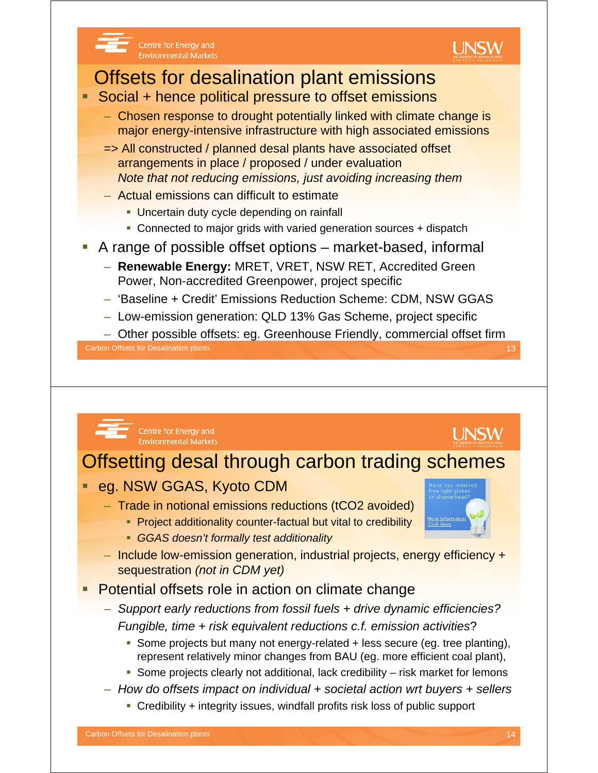

Centre for Energy and **Environmental Markets** 

## Offsets for desalination plant emissions

- Social + hence political pressure to offset emissions
	- Chosen response to drought potentially linked with climate change is major energy-intensive infrastructure with high associated emissions
	- => All constructed / planned desal plants have associated offset arrangements in place / proposed / under evaluation *Note that not reducing emissions, just avoiding increasing them*
	- Actual emissions can difficult to estimate
		- **Uncertain duty cycle depending on rainfall**
		- Connected to major grids with varied generation sources + dispatch
- A range of possible offset options market-based, informal
	- **Renewable Energy:** MRET, VRET, NSW RET, Accredited Green Power, Non-accredited Greenpower, project specific
	- 'Baseline + Credit' Emissions Reduction Scheme: CDM, NSW GGAS
	- Low-emission generation: QLD 13% Gas Scheme, project specific

– Other possible offsets: eg. Greenhouse Friendly, commercial offset firm

**Carbon Offsets for Desalination plants** 13

Centre for Energy and **Environmental Markets** 

## Offsetting desal through carbon trading schemes

- eg. NSW GGAS, Kyoto CDM
	- Trade in notional emissions reductions (tCO2 avoided)
		- **Project additionality counter-factual but vital to credibility**
		- *GGAS doesn't formally test additionality*
	- Include low-emission generation, industrial projects, energy efficiency + sequestration *(not in CDM yet)*
- Potential offsets role in action on climate change
	- *Support early reductions from fossil fuels + drive dynamic efficiencies? Fungible, time + risk equivalent reductions c.f. emission activities*?
		- Some projects but many not energy-related + less secure (eg. tree planting), represent relatively minor changes from BAU (eg. more efficient coal plant),
		- Some projects clearly not additional, lack credibility  $-$  risk market for lemons
	- *How do offsets impact on individual + societal action wrt buyers + sellers*
		- Credibility + integrity issues, windfall profits risk loss of public support



**UNSW**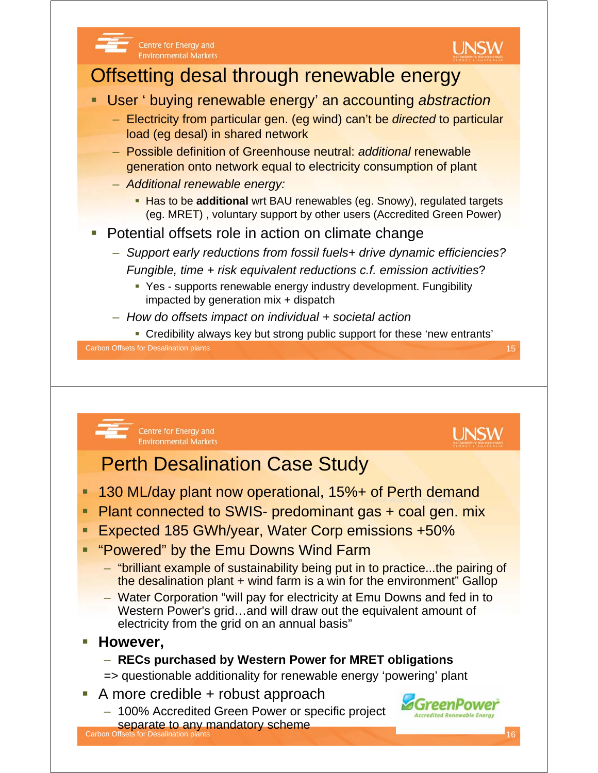

- Western Power's grid…and will draw out the equivalent amount of electricity from the grid on an annual basis"
- **However,**

### – **RECs purchased by Western Power for MRET obligations**

- => questionable additionality for renewable energy 'powering' plant
- A more credible + robust approach
- 100% Accredited Green Power or specific project separate to any mandatory scheme

Carbon Offsets for Desalination plants 16